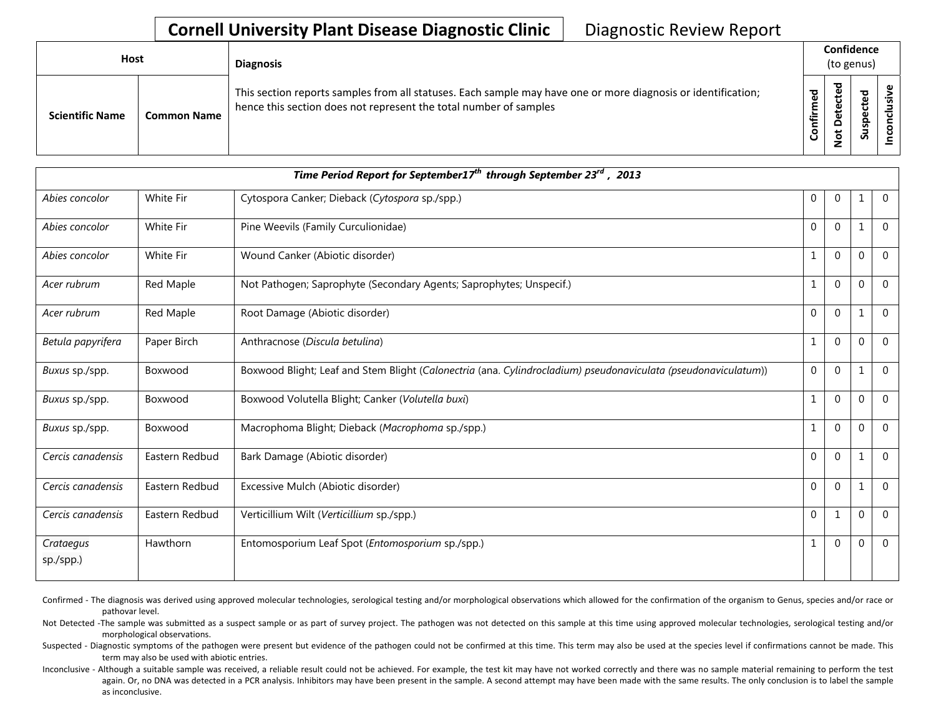## **Cornell University Plant Disease Diagnostic Clinic** | Diagnostic Review Report

| Host                   |                    | <b>Diagnosis</b>                                                                                                                                                                   |                               |                            |                                   | Confidence<br>(to genus) |  |  |
|------------------------|--------------------|------------------------------------------------------------------------------------------------------------------------------------------------------------------------------------|-------------------------------|----------------------------|-----------------------------------|--------------------------|--|--|
| <b>Scientific Name</b> | <b>Common Name</b> | This section reports samples from all statuses. Each sample may have one or more diagnosis or identification;<br>hence this section does not represent the total number of samples | $\overline{e}$<br>Ē<br>Confir | ᇃ<br>etecte<br>۵<br>ى<br>؋ | <b>Dal</b><br>ں<br><u>ဇ</u><br>ທັ |                          |  |  |

|                        |                  | Time Period Report for September17 <sup>th</sup> through September 23 <sup>rd</sup> , 2013                     |              |                |              |                |
|------------------------|------------------|----------------------------------------------------------------------------------------------------------------|--------------|----------------|--------------|----------------|
| Abies concolor         | White Fir        | Cytospora Canker; Dieback (Cytospora sp./spp.)                                                                 | $\mathbf{0}$ | $\mathbf 0$    | 1            | $\mathbf 0$    |
| Abies concolor         | <b>White Fir</b> | Pine Weevils (Family Curculionidae)                                                                            | $\mathbf 0$  | $\mathbf{0}$   | 1            | $\Omega$       |
| Abies concolor         | White Fir        | Wound Canker (Abiotic disorder)                                                                                |              | $\overline{0}$ | $\mathbf{0}$ | $\mathbf 0$    |
| Acer rubrum            | Red Maple        | Not Pathogen; Saprophyte (Secondary Agents; Saprophytes; Unspecif.)                                            | $\mathbf{1}$ | $\overline{0}$ | $\mathbf 0$  | $\mathbf 0$    |
| Acer rubrum            | Red Maple        | Root Damage (Abiotic disorder)                                                                                 | $\mathbf{0}$ | $\mathbf 0$    | 1            | $\overline{0}$ |
| Betula papyrifera      | Paper Birch      | Anthracnose (Discula betulina)                                                                                 | 1            | $\mathbf{0}$   | $\mathbf 0$  | $\mathbf 0$    |
| Buxus sp./spp.         | Boxwood          | Boxwood Blight; Leaf and Stem Blight (Calonectria (ana. Cylindrocladium) pseudonaviculata (pseudonaviculatum)) | $\mathbf 0$  | $\mathbf 0$    | 1            | $\Omega$       |
| Buxus sp./spp.         | Boxwood          | Boxwood Volutella Blight; Canker (Volutella buxi)                                                              | 1            | $\mathbf{0}$   | $\mathbf 0$  | $\mathbf 0$    |
| Buxus sp./spp.         | Boxwood          | Macrophoma Blight; Dieback (Macrophoma sp./spp.)                                                               | 1            | $\mathbf{0}$   | $\Omega$     | $\Omega$       |
| Cercis canadensis      | Eastern Redbud   | Bark Damage (Abiotic disorder)                                                                                 | $\mathbf{0}$ | $\Omega$       | 1            | $\Omega$       |
| Cercis canadensis      | Eastern Redbud   | Excessive Mulch (Abiotic disorder)                                                                             | $\mathbf 0$  | $\mathbf{0}$   | $\mathbf{1}$ | $\mathbf 0$    |
| Cercis canadensis      | Eastern Redbud   | Verticillium Wilt (Verticillium sp./spp.)                                                                      | $\mathbf 0$  | 1              | $\mathbf{0}$ | $\Omega$       |
| Crataegus<br>sp./spp.) | Hawthorn         | Entomosporium Leaf Spot (Entomosporium sp./spp.)                                                               | 1            | $\mathbf{0}$   | $\mathbf{0}$ | $\mathbf 0$    |

Confirmed - The diagnosis was derived using approved molecular technologies, serological testing and/or morphological observations which allowed for the confirmation of the organism to Genus, species and/or race or pathovar level.

Not Detected -The sample was submitted as a suspect sample or as part of survey project. The pathogen was not detected on this sample at this time using approved molecular technologies, serological testing and/or morphological observations.

Suspected - Diagnostic symptoms of the pathogen were present but evidence of the pathogen could not be confirmed at this time. This term may also be used at the species level if confirmations cannot be made. This term may also be used with abiotic entries.

Inconclusive - Although a suitable sample was received, a reliable result could not be achieved. For example, the test kit may have not worked correctly and there was no sample material remaining to perform the test again. Or, no DNA was detected in a PCR analysis. Inhibitors may have been present in the sample. A second attempt may have been made with the same results. The only conclusion is to label the sample as inconclusive.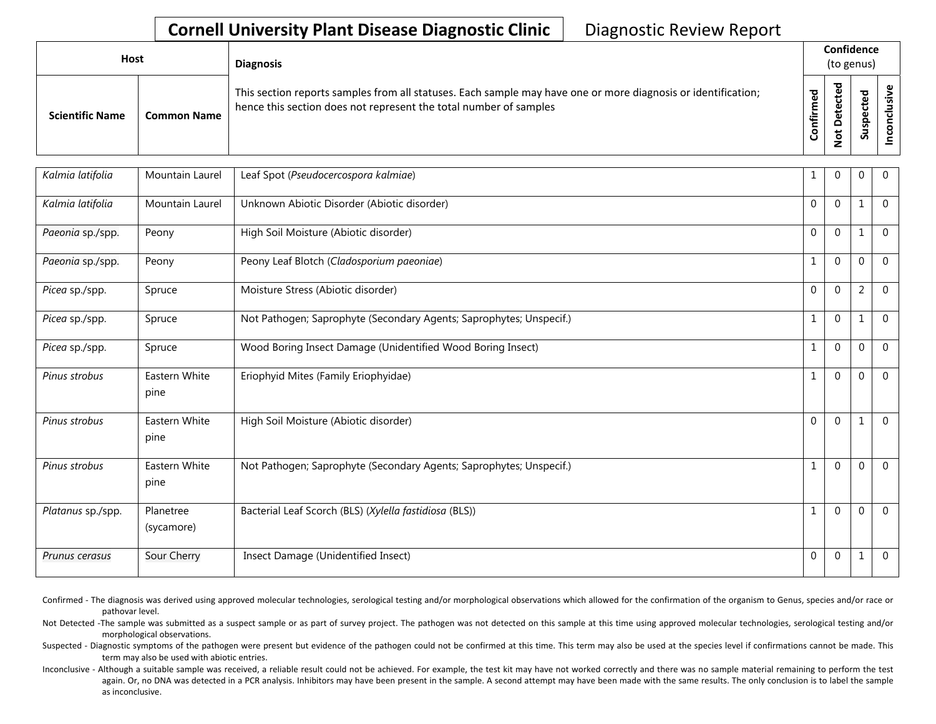## **Cornell University Plant Disease Diagnostic Clinic** | Diagnostic Review Report

| <b>Host</b>            |                    | <b>Diagnosis</b>                                                                                                                                                                   |                             |                                           | Confidence<br>(to genus)                       |  |  |
|------------------------|--------------------|------------------------------------------------------------------------------------------------------------------------------------------------------------------------------------|-----------------------------|-------------------------------------------|------------------------------------------------|--|--|
| <b>Scientific Name</b> | <b>Common Name</b> | This section reports samples from all statuses. Each sample may have one or more diagnosis or identification;<br>hence this section does not represent the total number of samples | ဥ<br>Ē<br>►<br>ii<br>Tonfii | ᅙ<br>cte<br>ق<br>Φ<br>۵<br>پ<br>$\dot{S}$ | <b>Pa</b><br>ن<br>$\mathbf{\omega}$<br>9s<br>S |  |  |

| Kalmia latifolia  | Mountain Laurel         | Leaf Spot (Pseudocercospora kalmiae)                                | 1            | $\Omega$     | 0              | $\mathbf 0$    |
|-------------------|-------------------------|---------------------------------------------------------------------|--------------|--------------|----------------|----------------|
| Kalmia latifolia  | <b>Mountain Laurel</b>  | Unknown Abiotic Disorder (Abiotic disorder)                         | $\mathbf 0$  | $\Omega$     | $\mathbf{1}$   | $\mathbf{0}$   |
| Paeonia sp./spp.  | Peony                   | High Soil Moisture (Abiotic disorder)                               | $\mathbf{0}$ | $\Omega$     | $\mathbf{1}$   | $\Omega$       |
| Paeonia sp./spp.  | Peony                   | Peony Leaf Blotch (Cladosporium paeoniae)                           | $\mathbf{1}$ | $\Omega$     | $\theta$       | $\overline{0}$ |
| Picea sp./spp.    | Spruce                  | Moisture Stress (Abiotic disorder)                                  | $\mathbf 0$  | $\Omega$     | $\overline{2}$ | $\Omega$       |
| Picea sp./spp.    | Spruce                  | Not Pathogen; Saprophyte (Secondary Agents; Saprophytes; Unspecif.) | $\mathbf 1$  | $\Omega$     | $\mathbf{1}$   | $\mathbf{0}$   |
| Picea sp./spp.    | Spruce                  | Wood Boring Insect Damage (Unidentified Wood Boring Insect)         | $\mathbf{1}$ | $\mathbf{0}$ | $\Omega$       | $\mathbf{0}$   |
| Pinus strobus     | Eastern White<br>pine   | Eriophyid Mites (Family Eriophyidae)                                | $\mathbf{1}$ | $\Omega$     | $\theta$       | $\Omega$       |
| Pinus strobus     | Eastern White<br>pine   | High Soil Moisture (Abiotic disorder)                               | $\Omega$     | $\Omega$     | $\mathbf{1}$   | $\overline{0}$ |
| Pinus strobus     | Eastern White<br>pine   | Not Pathogen; Saprophyte (Secondary Agents; Saprophytes; Unspecif.) | $1\,$        | $\Omega$     | $\Omega$       | $\overline{0}$ |
| Platanus sp./spp. | Planetree<br>(sycamore) | Bacterial Leaf Scorch (BLS) (Xylella fastidiosa (BLS))              | $\mathbf{1}$ | $\Omega$     | $\theta$       | $\Omega$       |
| Prunus cerasus    | Sour Cherry             | Insect Damage (Unidentified Insect)                                 | $\mathbf{0}$ | $\Omega$     | $\mathbf{1}$   | $\overline{0}$ |

- Confirmed The diagnosis was derived using approved molecular technologies, serological testing and/or morphological observations which allowed for the confirmation of the organism to Genus, species and/or race or pathovar level.
- Not Detected -The sample was submitted as a suspect sample or as part of survey project. The pathogen was not detected on this sample at this time using approved molecular technologies, serological testing and/or morphological observations.
- Suspected Diagnostic symptoms of the pathogen were present but evidence of the pathogen could not be confirmed at this time. This term may also be used at the species level if confirmations cannot be made. This term may also be used with abiotic entries.
- Inconclusive Although a suitable sample was received, a reliable result could not be achieved. For example, the test kit may have not worked correctly and there was no sample material remaining to perform the test again. Or, no DNA was detected in a PCR analysis. Inhibitors may have been present in the sample. A second attempt may have been made with the same results. The only conclusion is to label the sample as inconclusive.